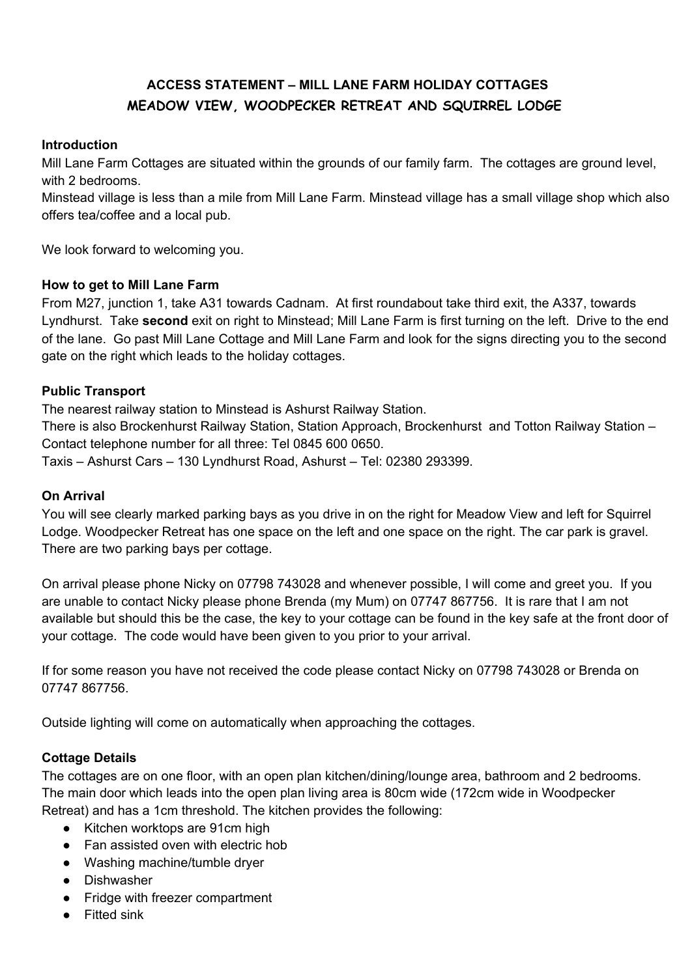# **ACCESS STATEMENT – MILL LANE FARM HOLIDAY COTTAGES MEADOW VIEW, WOODPECKER RETREAT AND SQUIRREL LODGE**

#### **Introduction**

Mill Lane Farm Cottages are situated within the grounds of our family farm. The cottages are ground level, with 2 bedrooms.

Minstead village is less than a mile from Mill Lane Farm. Minstead village has a small village shop which also offers tea/coffee and a local pub.

We look forward to welcoming you.

# **How to get to Mill Lane Farm**

From M27, junction 1, take A31 towards Cadnam. At first roundabout take third exit, the A337, towards Lyndhurst. Take **second** exit on right to Minstead; Mill Lane Farm is first turning on the left. Drive to the end of the lane. Go past Mill Lane Cottage and Mill Lane Farm and look for the signs directing you to the second gate on the right which leads to the holiday cottages.

# **Public Transport**

The nearest railway station to Minstead is Ashurst Railway Station.

There is also Brockenhurst Railway Station, Station Approach, Brockenhurst and Totton Railway Station – Contact telephone number for all three: Tel 0845 600 0650.

Taxis – Ashurst Cars – 130 Lyndhurst Road, Ashurst – Tel: 02380 293399.

### **On Arrival**

You will see clearly marked parking bays as you drive in on the right for Meadow View and left for Squirrel Lodge. Woodpecker Retreat has one space on the left and one space on the right. The car park is gravel. There are two parking bays per cottage.

On arrival please phone Nicky on 07798 743028 and whenever possible, I will come and greet you. If you are unable to contact Nicky please phone Brenda (my Mum) on 07747 867756. It is rare that I am not available but should this be the case, the key to your cottage can be found in the key safe at the front door of your cottage. The code would have been given to you prior to your arrival.

If for some reason you have not received the code please contact Nicky on 07798 743028 or Brenda on 07747 867756.

Outside lighting will come on automatically when approaching the cottages.

# **Cottage Details**

The cottages are on one floor, with an open plan kitchen/dining/lounge area, bathroom and 2 bedrooms. The main door which leads into the open plan living area is 80cm wide (172cm wide in Woodpecker Retreat) and has a 1cm threshold. The kitchen provides the following:

- Kitchen worktops are 91cm high
- Fan assisted oven with electric hob
- Washing machine/tumble dryer
- Dishwasher
- Fridge with freezer compartment
- Fitted sink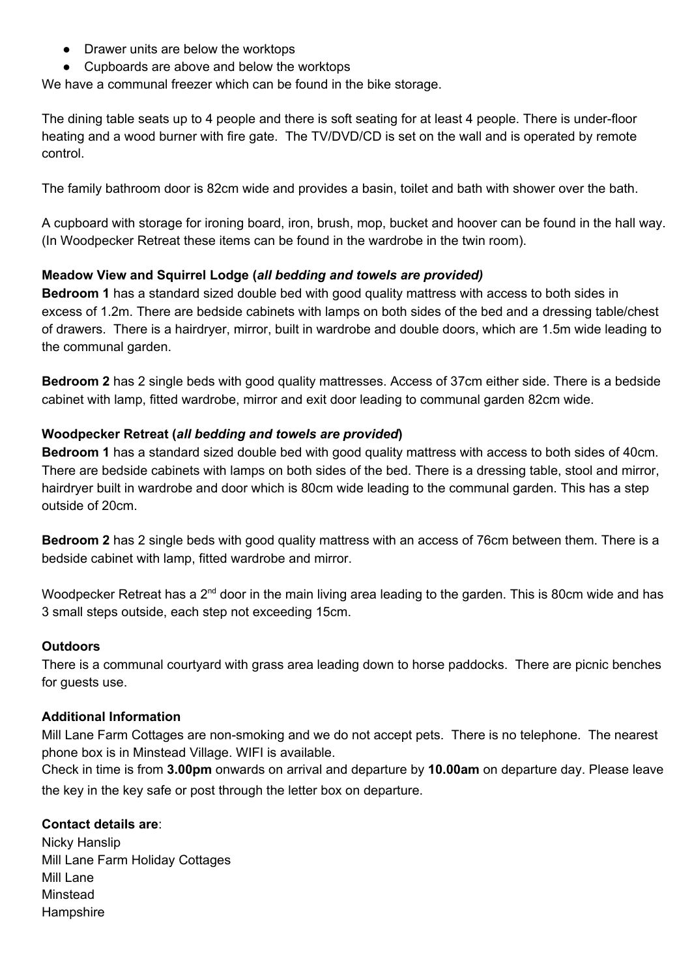- Drawer units are below the worktops
- Cupboards are above and below the worktops

We have a communal freezer which can be found in the bike storage.

The dining table seats up to 4 people and there is soft seating for at least 4 people. There is under-floor heating and a wood burner with fire gate. The TV/DVD/CD is set on the wall and is operated by remote control.

The family bathroom door is 82cm wide and provides a basin, toilet and bath with shower over the bath.

A cupboard with storage for ironing board, iron, brush, mop, bucket and hoover can be found in the hall way. (In Woodpecker Retreat these items can be found in the wardrobe in the twin room).

#### **Meadow View and Squirrel Lodge (***all bedding and towels are provided)*

**Bedroom 1** has a standard sized double bed with good quality mattress with access to both sides in excess of 1.2m. There are bedside cabinets with lamps on both sides of the bed and a dressing table/chest of drawers. There is a hairdryer, mirror, built in wardrobe and double doors, which are 1.5m wide leading to the communal garden.

**Bedroom 2** has 2 single beds with good quality mattresses. Access of 37cm either side. There is a bedside cabinet with lamp, fitted wardrobe, mirror and exit door leading to communal garden 82cm wide.

#### **Woodpecker Retreat (***all bedding and towels are provided***)**

**Bedroom 1** has a standard sized double bed with good quality mattress with access to both sides of 40cm. There are bedside cabinets with lamps on both sides of the bed. There is a dressing table, stool and mirror, hairdryer built in wardrobe and door which is 80cm wide leading to the communal garden. This has a step outside of 20cm.

**Bedroom 2** has 2 single beds with good quality mattress with an access of 76cm between them. There is a bedside cabinet with lamp, fitted wardrobe and mirror.

Woodpecker Retreat has a 2<sup>nd</sup> door in the main living area leading to the garden. This is 80cm wide and has 3 small steps outside, each step not exceeding 15cm.

#### **Outdoors**

There is a communal courtyard with grass area leading down to horse paddocks. There are picnic benches for guests use.

#### **Additional Information**

Mill Lane Farm Cottages are non-smoking and we do not accept pets. There is no telephone. The nearest phone box is in Minstead Village. WIFI is available.

Check in time is from **3.00pm** onwards on arrival and departure by **10.00am** on departure day. Please leave the key in the key safe or post through the letter box on departure.

#### **Contact details are**:

Nicky Hanslip Mill Lane Farm Holiday Cottages Mill Lane Minstead **Hampshire**